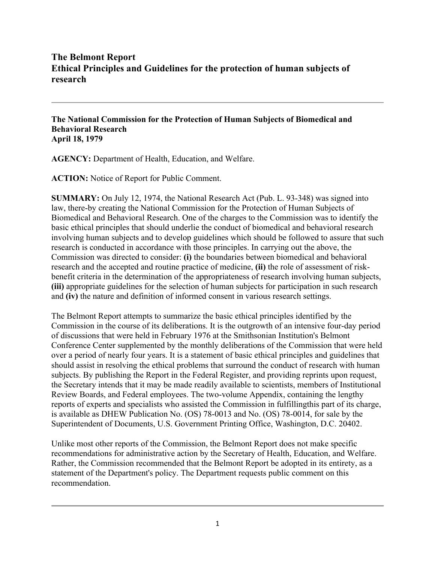# **The Belmont Report Ethical Principles and Guidelines for the protection of human subjects of research**

**The National Commission for the Protection of Human Subjects of Biomedical and Behavioral Research April 18, 1979**

**AGENCY:** Department of Health, Education, and Welfare.

**ACTION:** Notice of Report for Public Comment.

**SUMMARY:** On July 12, 1974, the National Research Act (Pub. L. 93-348) was signed into law, there-by creating the National Commission for the Protection of Human Subjects of Biomedical and Behavioral Research. One of the charges to the Commission was to identify the basic ethical principles that should underlie the conduct of biomedical and behavioral research involving human subjects and to develop guidelines which should be followed to assure that such research is conducted in accordance with those principles. In carrying out the above, the Commission was directed to consider: **(i)** the boundaries between biomedical and behavioral research and the accepted and routine practice of medicine, **(ii)** the role of assessment of riskbenefit criteria in the determination of the appropriateness of research involving human subjects, **(iii)** appropriate guidelines for the selection of human subjects for participation in such research and **(iv)** the nature and definition of informed consent in various research settings.

The Belmont Report attempts to summarize the basic ethical principles identified by the Commission in the course of its deliberations. It is the outgrowth of an intensive four-day period of discussions that were held in February 1976 at the Smithsonian Institution's Belmont Conference Center supplemented by the monthly deliberations of the Commission that were held over a period of nearly four years. It is a statement of basic ethical principles and guidelines that should assist in resolving the ethical problems that surround the conduct of research with human subjects. By publishing the Report in the Federal Register, and providing reprints upon request, the Secretary intends that it may be made readily available to scientists, members of Institutional Review Boards, and Federal employees. The two-volume Appendix, containing the lengthy reports of experts and specialists who assisted the Commission in fulfillingthis part of its charge, is available as DHEW Publication No. (OS) 78-0013 and No. (OS) 78-0014, for sale by the Superintendent of Documents, U.S. Government Printing Office, Washington, D.C. 20402.

Unlike most other reports of the Commission, the Belmont Report does not make specific recommendations for administrative action by the Secretary of Health, Education, and Welfare. Rather, the Commission recommended that the Belmont Report be adopted in its entirety, as a statement of the Department's policy. The Department requests public comment on this recommendation.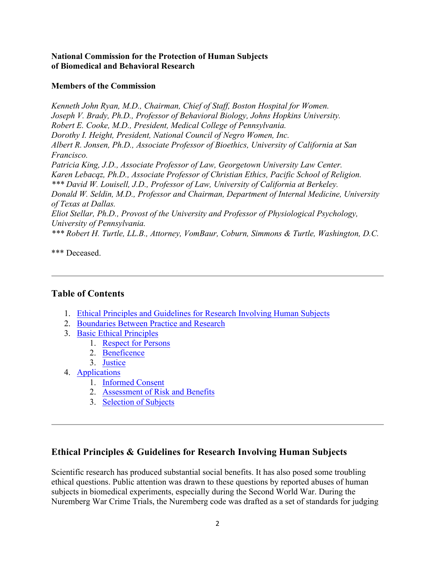#### **National Commission for the Protection of Human Subjects of Biomedical and Behavioral Research**

#### **Members of the Commission**

*Kenneth John Ryan, M.D., Chairman, Chief of Staff, Boston Hospital for Women. Joseph V. Brady, Ph.D., Professor of Behavioral Biology, Johns Hopkins University. Robert E. Cooke, M.D., President, Medical College of Pennsylvania. Dorothy I. Height, President, National Council of Negro Women, Inc. Albert R. Jonsen, Ph.D., Associate Professor of Bioethics, University of California at San Francisco. Patricia King, J.D., Associate Professor of Law, Georgetown University Law Center. Karen Lebacqz, Ph.D., Associate Professor of Christian Ethics, Pacific School of Religion. \*\*\* David W. Louisell, J.D., Professor of Law, University of California at Berkeley. Donald W. Seldin, M.D., Professor and Chairman, Department of Internal Medicine, University of Texas at Dallas. Eliot Stellar, Ph.D., Provost of the University and Professor of Physiological Psychology, University of Pennsylvania. \*\*\* Robert H. Turtle, LL.B., Attorney, VomBaur, Coburn, Simmons & Turtle, Washington, D.C.*

\*\*\* Deceased.

### **Table of Contents**

- 1. Ethical Principles and Guidelines for Research Involving Human Subjects
- 2. Boundaries Between Practice and Research
- 3. Basic Ethical Principles
	- 1. Respect for Persons
	- 2. Beneficence
	- 3. Justice
- 4. Applications
	- 1. Informed Consent
	- 2. Assessment of Risk and Benefits
	- 3. Selection of Subjects

## **Ethical Principles & Guidelines for Research Involving Human Subjects**

Scientific research has produced substantial social benefits. It has also posed some troubling ethical questions. Public attention was drawn to these questions by reported abuses of human subjects in biomedical experiments, especially during the Second World War. During the Nuremberg War Crime Trials, the Nuremberg code was drafted as a set of standards for judging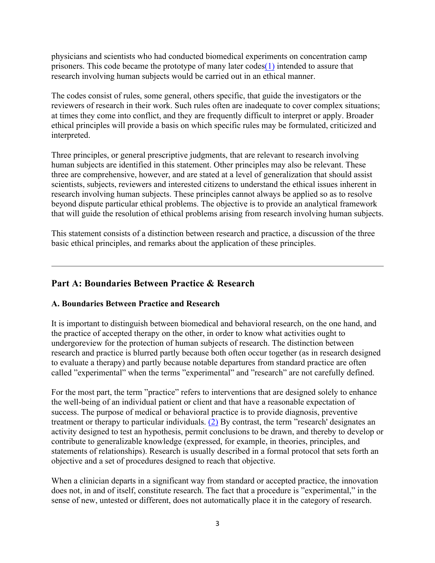physicians and scientists who had conducted biomedical experiments on concentration camp prisoners. This code became the prototype of many later codes(1) intended to assure that research involving human subjects would be carried out in an ethical manner.

The codes consist of rules, some general, others specific, that guide the investigators or the reviewers of research in their work. Such rules often are inadequate to cover complex situations; at times they come into conflict, and they are frequently difficult to interpret or apply. Broader ethical principles will provide a basis on which specific rules may be formulated, criticized and interpreted.

Three principles, or general prescriptive judgments, that are relevant to research involving human subjects are identified in this statement. Other principles may also be relevant. These three are comprehensive, however, and are stated at a level of generalization that should assist scientists, subjects, reviewers and interested citizens to understand the ethical issues inherent in research involving human subjects. These principles cannot always be applied so as to resolve beyond dispute particular ethical problems. The objective is to provide an analytical framework that will guide the resolution of ethical problems arising from research involving human subjects.

This statement consists of a distinction between research and practice, a discussion of the three basic ethical principles, and remarks about the application of these principles.

## **Part A: Boundaries Between Practice & Research**

#### **A. Boundaries Between Practice and Research**

It is important to distinguish between biomedical and behavioral research, on the one hand, and the practice of accepted therapy on the other, in order to know what activities ought to undergoreview for the protection of human subjects of research. The distinction between research and practice is blurred partly because both often occur together (as in research designed to evaluate a therapy) and partly because notable departures from standard practice are often called "experimental" when the terms "experimental" and "research" are not carefully defined.

For the most part, the term "practice" refers to interventions that are designed solely to enhance the well-being of an individual patient or client and that have a reasonable expectation of success. The purpose of medical or behavioral practice is to provide diagnosis, preventive treatment or therapy to particular individuals. (2) By contrast, the term "research' designates an activity designed to test an hypothesis, permit conclusions to be drawn, and thereby to develop or contribute to generalizable knowledge (expressed, for example, in theories, principles, and statements of relationships). Research is usually described in a formal protocol that sets forth an objective and a set of procedures designed to reach that objective.

When a clinician departs in a significant way from standard or accepted practice, the innovation does not, in and of itself, constitute research. The fact that a procedure is "experimental," in the sense of new, untested or different, does not automatically place it in the category of research.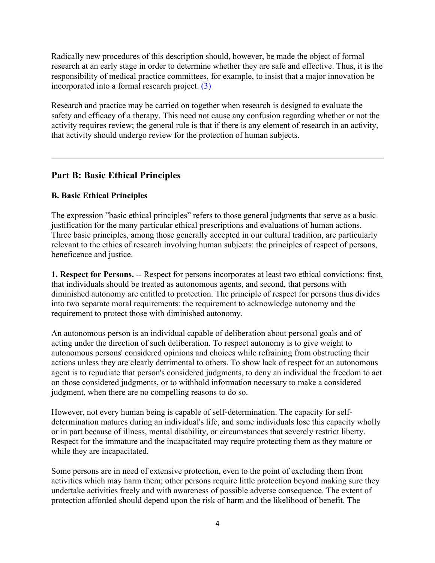Radically new procedures of this description should, however, be made the object of formal research at an early stage in order to determine whether they are safe and effective. Thus, it is the responsibility of medical practice committees, for example, to insist that a major innovation be incorporated into a formal research project. (3)

Research and practice may be carried on together when research is designed to evaluate the safety and efficacy of a therapy. This need not cause any confusion regarding whether or not the activity requires review; the general rule is that if there is any element of research in an activity, that activity should undergo review for the protection of human subjects.

## **Part B: Basic Ethical Principles**

### **B. Basic Ethical Principles**

The expression "basic ethical principles" refers to those general judgments that serve as a basic justification for the many particular ethical prescriptions and evaluations of human actions. Three basic principles, among those generally accepted in our cultural tradition, are particularly relevant to the ethics of research involving human subjects: the principles of respect of persons, beneficence and justice.

**1. Respect for Persons.** -- Respect for persons incorporates at least two ethical convictions: first, that individuals should be treated as autonomous agents, and second, that persons with diminished autonomy are entitled to protection. The principle of respect for persons thus divides into two separate moral requirements: the requirement to acknowledge autonomy and the requirement to protect those with diminished autonomy.

An autonomous person is an individual capable of deliberation about personal goals and of acting under the direction of such deliberation. To respect autonomy is to give weight to autonomous persons' considered opinions and choices while refraining from obstructing their actions unless they are clearly detrimental to others. To show lack of respect for an autonomous agent is to repudiate that person's considered judgments, to deny an individual the freedom to act on those considered judgments, or to withhold information necessary to make a considered judgment, when there are no compelling reasons to do so.

However, not every human being is capable of self-determination. The capacity for selfdetermination matures during an individual's life, and some individuals lose this capacity wholly or in part because of illness, mental disability, or circumstances that severely restrict liberty. Respect for the immature and the incapacitated may require protecting them as they mature or while they are incapacitated.

Some persons are in need of extensive protection, even to the point of excluding them from activities which may harm them; other persons require little protection beyond making sure they undertake activities freely and with awareness of possible adverse consequence. The extent of protection afforded should depend upon the risk of harm and the likelihood of benefit. The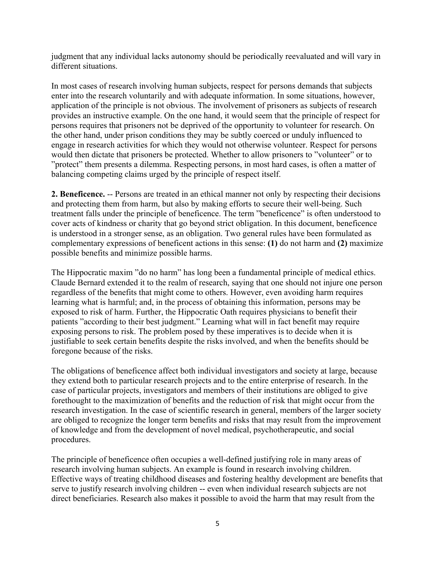judgment that any individual lacks autonomy should be periodically reevaluated and will vary in different situations.

In most cases of research involving human subjects, respect for persons demands that subjects enter into the research voluntarily and with adequate information. In some situations, however, application of the principle is not obvious. The involvement of prisoners as subjects of research provides an instructive example. On the one hand, it would seem that the principle of respect for persons requires that prisoners not be deprived of the opportunity to volunteer for research. On the other hand, under prison conditions they may be subtly coerced or unduly influenced to engage in research activities for which they would not otherwise volunteer. Respect for persons would then dictate that prisoners be protected. Whether to allow prisoners to "volunteer" or to "protect" them presents a dilemma. Respecting persons, in most hard cases, is often a matter of balancing competing claims urged by the principle of respect itself.

**2. Beneficence.** -- Persons are treated in an ethical manner not only by respecting their decisions and protecting them from harm, but also by making efforts to secure their well-being. Such treatment falls under the principle of beneficence. The term "beneficence" is often understood to cover acts of kindness or charity that go beyond strict obligation. In this document, beneficence is understood in a stronger sense, as an obligation. Two general rules have been formulated as complementary expressions of beneficent actions in this sense: **(1)** do not harm and **(2)** maximize possible benefits and minimize possible harms.

The Hippocratic maxim "do no harm" has long been a fundamental principle of medical ethics. Claude Bernard extended it to the realm of research, saying that one should not injure one person regardless of the benefits that might come to others. However, even avoiding harm requires learning what is harmful; and, in the process of obtaining this information, persons may be exposed to risk of harm. Further, the Hippocratic Oath requires physicians to benefit their patients "according to their best judgment." Learning what will in fact benefit may require exposing persons to risk. The problem posed by these imperatives is to decide when it is justifiable to seek certain benefits despite the risks involved, and when the benefits should be foregone because of the risks.

The obligations of beneficence affect both individual investigators and society at large, because they extend both to particular research projects and to the entire enterprise of research. In the case of particular projects, investigators and members of their institutions are obliged to give forethought to the maximization of benefits and the reduction of risk that might occur from the research investigation. In the case of scientific research in general, members of the larger society are obliged to recognize the longer term benefits and risks that may result from the improvement of knowledge and from the development of novel medical, psychotherapeutic, and social procedures.

The principle of beneficence often occupies a well-defined justifying role in many areas of research involving human subjects. An example is found in research involving children. Effective ways of treating childhood diseases and fostering healthy development are benefits that serve to justify research involving children -- even when individual research subjects are not direct beneficiaries. Research also makes it possible to avoid the harm that may result from the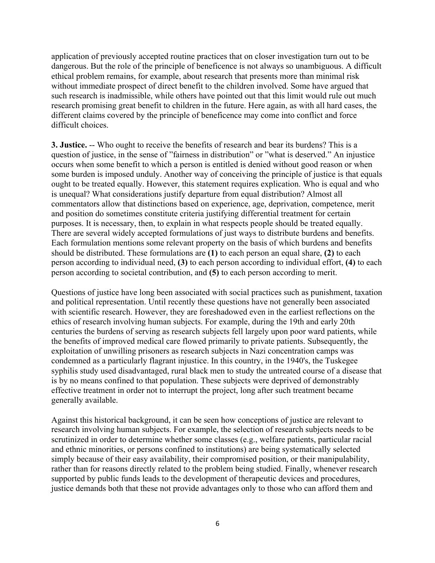application of previously accepted routine practices that on closer investigation turn out to be dangerous. But the role of the principle of beneficence is not always so unambiguous. A difficult ethical problem remains, for example, about research that presents more than minimal risk without immediate prospect of direct benefit to the children involved. Some have argued that such research is inadmissible, while others have pointed out that this limit would rule out much research promising great benefit to children in the future. Here again, as with all hard cases, the different claims covered by the principle of beneficence may come into conflict and force difficult choices.

**3. Justice.** -- Who ought to receive the benefits of research and bear its burdens? This is a question of justice, in the sense of "fairness in distribution" or "what is deserved." An injustice occurs when some benefit to which a person is entitled is denied without good reason or when some burden is imposed unduly. Another way of conceiving the principle of justice is that equals ought to be treated equally. However, this statement requires explication. Who is equal and who is unequal? What considerations justify departure from equal distribution? Almost all commentators allow that distinctions based on experience, age, deprivation, competence, merit and position do sometimes constitute criteria justifying differential treatment for certain purposes. It is necessary, then, to explain in what respects people should be treated equally. There are several widely accepted formulations of just ways to distribute burdens and benefits. Each formulation mentions some relevant property on the basis of which burdens and benefits should be distributed. These formulations are **(1)** to each person an equal share, **(2)** to each person according to individual need, **(3)** to each person according to individual effort, **(4)** to each person according to societal contribution, and **(5)** to each person according to merit.

Questions of justice have long been associated with social practices such as punishment, taxation and political representation. Until recently these questions have not generally been associated with scientific research. However, they are foreshadowed even in the earliest reflections on the ethics of research involving human subjects. For example, during the 19th and early 20th centuries the burdens of serving as research subjects fell largely upon poor ward patients, while the benefits of improved medical care flowed primarily to private patients. Subsequently, the exploitation of unwilling prisoners as research subjects in Nazi concentration camps was condemned as a particularly flagrant injustice. In this country, in the 1940's, the Tuskegee syphilis study used disadvantaged, rural black men to study the untreated course of a disease that is by no means confined to that population. These subjects were deprived of demonstrably effective treatment in order not to interrupt the project, long after such treatment became generally available.

Against this historical background, it can be seen how conceptions of justice are relevant to research involving human subjects. For example, the selection of research subjects needs to be scrutinized in order to determine whether some classes (e.g., welfare patients, particular racial and ethnic minorities, or persons confined to institutions) are being systematically selected simply because of their easy availability, their compromised position, or their manipulability, rather than for reasons directly related to the problem being studied. Finally, whenever research supported by public funds leads to the development of therapeutic devices and procedures, justice demands both that these not provide advantages only to those who can afford them and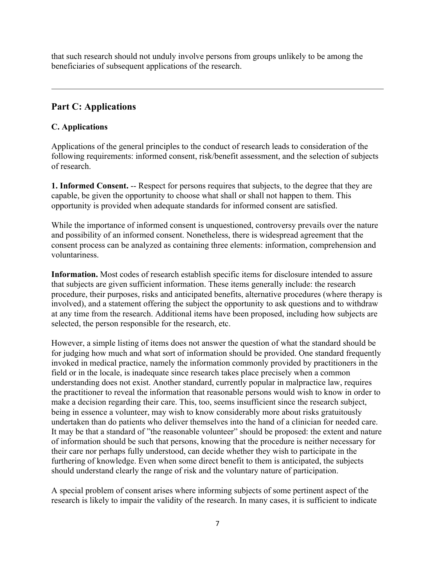that such research should not unduly involve persons from groups unlikely to be among the beneficiaries of subsequent applications of the research.

# **Part C: Applications**

### **C. Applications**

Applications of the general principles to the conduct of research leads to consideration of the following requirements: informed consent, risk/benefit assessment, and the selection of subjects of research.

**1. Informed Consent.** -- Respect for persons requires that subjects, to the degree that they are capable, be given the opportunity to choose what shall or shall not happen to them. This opportunity is provided when adequate standards for informed consent are satisfied.

While the importance of informed consent is unquestioned, controversy prevails over the nature and possibility of an informed consent. Nonetheless, there is widespread agreement that the consent process can be analyzed as containing three elements: information, comprehension and voluntariness.

**Information.** Most codes of research establish specific items for disclosure intended to assure that subjects are given sufficient information. These items generally include: the research procedure, their purposes, risks and anticipated benefits, alternative procedures (where therapy is involved), and a statement offering the subject the opportunity to ask questions and to withdraw at any time from the research. Additional items have been proposed, including how subjects are selected, the person responsible for the research, etc.

However, a simple listing of items does not answer the question of what the standard should be for judging how much and what sort of information should be provided. One standard frequently invoked in medical practice, namely the information commonly provided by practitioners in the field or in the locale, is inadequate since research takes place precisely when a common understanding does not exist. Another standard, currently popular in malpractice law, requires the practitioner to reveal the information that reasonable persons would wish to know in order to make a decision regarding their care. This, too, seems insufficient since the research subject, being in essence a volunteer, may wish to know considerably more about risks gratuitously undertaken than do patients who deliver themselves into the hand of a clinician for needed care. It may be that a standard of "the reasonable volunteer" should be proposed: the extent and nature of information should be such that persons, knowing that the procedure is neither necessary for their care nor perhaps fully understood, can decide whether they wish to participate in the furthering of knowledge. Even when some direct benefit to them is anticipated, the subjects should understand clearly the range of risk and the voluntary nature of participation.

A special problem of consent arises where informing subjects of some pertinent aspect of the research is likely to impair the validity of the research. In many cases, it is sufficient to indicate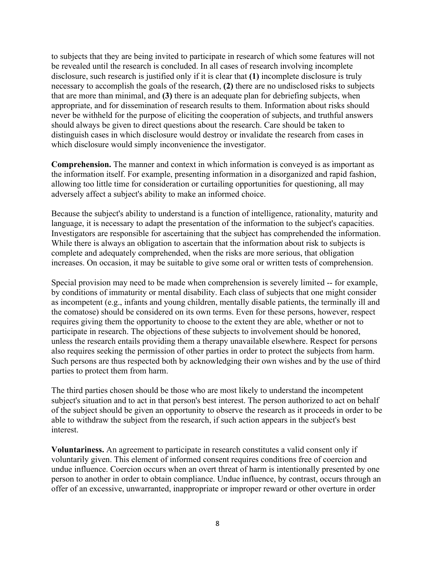to subjects that they are being invited to participate in research of which some features will not be revealed until the research is concluded. In all cases of research involving incomplete disclosure, such research is justified only if it is clear that **(1)** incomplete disclosure is truly necessary to accomplish the goals of the research, **(2)** there are no undisclosed risks to subjects that are more than minimal, and **(3)** there is an adequate plan for debriefing subjects, when appropriate, and for dissemination of research results to them. Information about risks should never be withheld for the purpose of eliciting the cooperation of subjects, and truthful answers should always be given to direct questions about the research. Care should be taken to distinguish cases in which disclosure would destroy or invalidate the research from cases in which disclosure would simply inconvenience the investigator.

**Comprehension.** The manner and context in which information is conveyed is as important as the information itself. For example, presenting information in a disorganized and rapid fashion, allowing too little time for consideration or curtailing opportunities for questioning, all may adversely affect a subject's ability to make an informed choice.

Because the subject's ability to understand is a function of intelligence, rationality, maturity and language, it is necessary to adapt the presentation of the information to the subject's capacities. Investigators are responsible for ascertaining that the subject has comprehended the information. While there is always an obligation to ascertain that the information about risk to subjects is complete and adequately comprehended, when the risks are more serious, that obligation increases. On occasion, it may be suitable to give some oral or written tests of comprehension.

Special provision may need to be made when comprehension is severely limited -- for example, by conditions of immaturity or mental disability. Each class of subjects that one might consider as incompetent (e.g., infants and young children, mentally disable patients, the terminally ill and the comatose) should be considered on its own terms. Even for these persons, however, respect requires giving them the opportunity to choose to the extent they are able, whether or not to participate in research. The objections of these subjects to involvement should be honored, unless the research entails providing them a therapy unavailable elsewhere. Respect for persons also requires seeking the permission of other parties in order to protect the subjects from harm. Such persons are thus respected both by acknowledging their own wishes and by the use of third parties to protect them from harm.

The third parties chosen should be those who are most likely to understand the incompetent subject's situation and to act in that person's best interest. The person authorized to act on behalf of the subject should be given an opportunity to observe the research as it proceeds in order to be able to withdraw the subject from the research, if such action appears in the subject's best interest.

**Voluntariness.** An agreement to participate in research constitutes a valid consent only if voluntarily given. This element of informed consent requires conditions free of coercion and undue influence. Coercion occurs when an overt threat of harm is intentionally presented by one person to another in order to obtain compliance. Undue influence, by contrast, occurs through an offer of an excessive, unwarranted, inappropriate or improper reward or other overture in order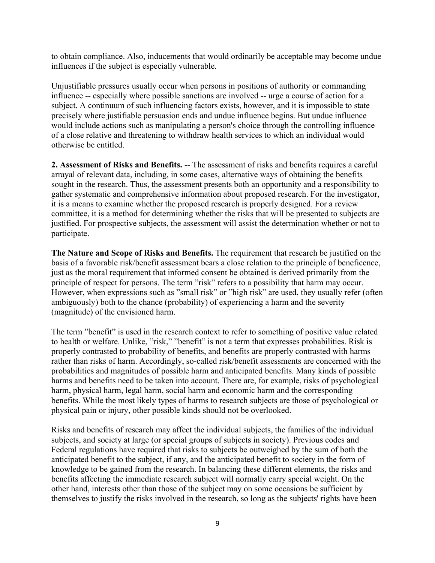to obtain compliance. Also, inducements that would ordinarily be acceptable may become undue influences if the subject is especially vulnerable.

Unjustifiable pressures usually occur when persons in positions of authority or commanding influence -- especially where possible sanctions are involved -- urge a course of action for a subject. A continuum of such influencing factors exists, however, and it is impossible to state precisely where justifiable persuasion ends and undue influence begins. But undue influence would include actions such as manipulating a person's choice through the controlling influence of a close relative and threatening to withdraw health services to which an individual would otherwise be entitled.

**2. Assessment of Risks and Benefits.** -- The assessment of risks and benefits requires a careful arrayal of relevant data, including, in some cases, alternative ways of obtaining the benefits sought in the research. Thus, the assessment presents both an opportunity and a responsibility to gather systematic and comprehensive information about proposed research. For the investigator, it is a means to examine whether the proposed research is properly designed. For a review committee, it is a method for determining whether the risks that will be presented to subjects are justified. For prospective subjects, the assessment will assist the determination whether or not to participate.

**The Nature and Scope of Risks and Benefits.** The requirement that research be justified on the basis of a favorable risk/benefit assessment bears a close relation to the principle of beneficence, just as the moral requirement that informed consent be obtained is derived primarily from the principle of respect for persons. The term "risk" refers to a possibility that harm may occur. However, when expressions such as "small risk" or "high risk" are used, they usually refer (often ambiguously) both to the chance (probability) of experiencing a harm and the severity (magnitude) of the envisioned harm.

The term "benefit" is used in the research context to refer to something of positive value related to health or welfare. Unlike, "risk," "benefit" is not a term that expresses probabilities. Risk is properly contrasted to probability of benefits, and benefits are properly contrasted with harms rather than risks of harm. Accordingly, so-called risk/benefit assessments are concerned with the probabilities and magnitudes of possible harm and anticipated benefits. Many kinds of possible harms and benefits need to be taken into account. There are, for example, risks of psychological harm, physical harm, legal harm, social harm and economic harm and the corresponding benefits. While the most likely types of harms to research subjects are those of psychological or physical pain or injury, other possible kinds should not be overlooked.

Risks and benefits of research may affect the individual subjects, the families of the individual subjects, and society at large (or special groups of subjects in society). Previous codes and Federal regulations have required that risks to subjects be outweighed by the sum of both the anticipated benefit to the subject, if any, and the anticipated benefit to society in the form of knowledge to be gained from the research. In balancing these different elements, the risks and benefits affecting the immediate research subject will normally carry special weight. On the other hand, interests other than those of the subject may on some occasions be sufficient by themselves to justify the risks involved in the research, so long as the subjects' rights have been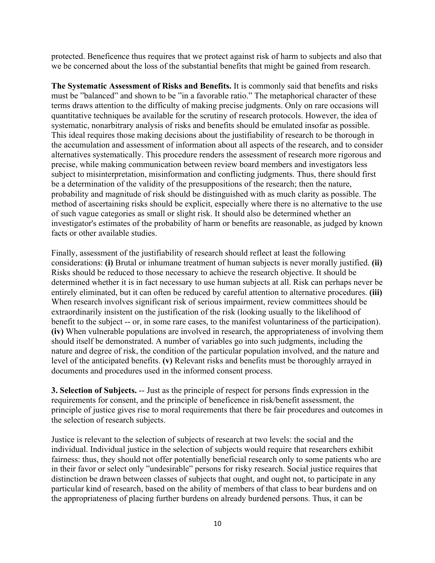protected. Beneficence thus requires that we protect against risk of harm to subjects and also that we be concerned about the loss of the substantial benefits that might be gained from research.

**The Systematic Assessment of Risks and Benefits.** It is commonly said that benefits and risks must be "balanced" and shown to be "in a favorable ratio." The metaphorical character of these terms draws attention to the difficulty of making precise judgments. Only on rare occasions will quantitative techniques be available for the scrutiny of research protocols. However, the idea of systematic, nonarbitrary analysis of risks and benefits should be emulated insofar as possible. This ideal requires those making decisions about the justifiability of research to be thorough in the accumulation and assessment of information about all aspects of the research, and to consider alternatives systematically. This procedure renders the assessment of research more rigorous and precise, while making communication between review board members and investigators less subject to misinterpretation, misinformation and conflicting judgments. Thus, there should first be a determination of the validity of the presuppositions of the research; then the nature, probability and magnitude of risk should be distinguished with as much clarity as possible. The method of ascertaining risks should be explicit, especially where there is no alternative to the use of such vague categories as small or slight risk. It should also be determined whether an investigator's estimates of the probability of harm or benefits are reasonable, as judged by known facts or other available studies.

Finally, assessment of the justifiability of research should reflect at least the following considerations: **(i)** Brutal or inhumane treatment of human subjects is never morally justified. **(ii)**  Risks should be reduced to those necessary to achieve the research objective. It should be determined whether it is in fact necessary to use human subjects at all. Risk can perhaps never be entirely eliminated, but it can often be reduced by careful attention to alternative procedures. **(iii)** When research involves significant risk of serious impairment, review committees should be extraordinarily insistent on the justification of the risk (looking usually to the likelihood of benefit to the subject -- or, in some rare cases, to the manifest voluntariness of the participation). **(iv)** When vulnerable populations are involved in research, the appropriateness of involving them should itself be demonstrated. A number of variables go into such judgments, including the nature and degree of risk, the condition of the particular population involved, and the nature and level of the anticipated benefits. **(v)** Relevant risks and benefits must be thoroughly arrayed in documents and procedures used in the informed consent process.

**3. Selection of Subjects.** -- Just as the principle of respect for persons finds expression in the requirements for consent, and the principle of beneficence in risk/benefit assessment, the principle of justice gives rise to moral requirements that there be fair procedures and outcomes in the selection of research subjects.

Justice is relevant to the selection of subjects of research at two levels: the social and the individual. Individual justice in the selection of subjects would require that researchers exhibit fairness: thus, they should not offer potentially beneficial research only to some patients who are in their favor or select only "undesirable" persons for risky research. Social justice requires that distinction be drawn between classes of subjects that ought, and ought not, to participate in any particular kind of research, based on the ability of members of that class to bear burdens and on the appropriateness of placing further burdens on already burdened persons. Thus, it can be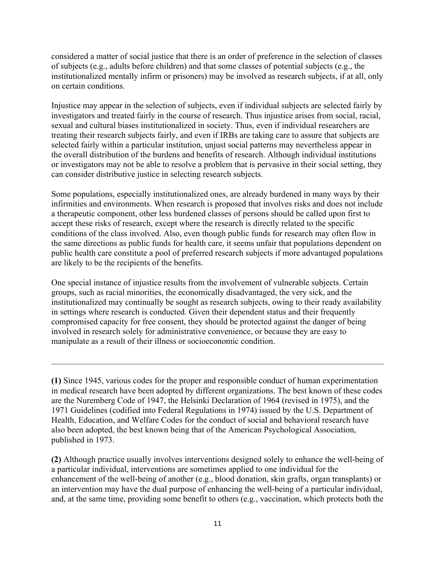considered a matter of social justice that there is an order of preference in the selection of classes of subjects (e.g., adults before children) and that some classes of potential subjects (e.g., the institutionalized mentally infirm or prisoners) may be involved as research subjects, if at all, only on certain conditions.

Injustice may appear in the selection of subjects, even if individual subjects are selected fairly by investigators and treated fairly in the course of research. Thus injustice arises from social, racial, sexual and cultural biases institutionalized in society. Thus, even if individual researchers are treating their research subjects fairly, and even if IRBs are taking care to assure that subjects are selected fairly within a particular institution, unjust social patterns may nevertheless appear in the overall distribution of the burdens and benefits of research. Although individual institutions or investigators may not be able to resolve a problem that is pervasive in their social setting, they can consider distributive justice in selecting research subjects.

Some populations, especially institutionalized ones, are already burdened in many ways by their infirmities and environments. When research is proposed that involves risks and does not include a therapeutic component, other less burdened classes of persons should be called upon first to accept these risks of research, except where the research is directly related to the specific conditions of the class involved. Also, even though public funds for research may often flow in the same directions as public funds for health care, it seems unfair that populations dependent on public health care constitute a pool of preferred research subjects if more advantaged populations are likely to be the recipients of the benefits.

One special instance of injustice results from the involvement of vulnerable subjects. Certain groups, such as racial minorities, the economically disadvantaged, the very sick, and the institutionalized may continually be sought as research subjects, owing to their ready availability in settings where research is conducted. Given their dependent status and their frequently compromised capacity for free consent, they should be protected against the danger of being involved in research solely for administrative convenience, or because they are easy to manipulate as a result of their illness or socioeconomic condition.

**(1)** Since 1945, various codes for the proper and responsible conduct of human experimentation in medical research have been adopted by different organizations. The best known of these codes are the Nuremberg Code of 1947, the Helsinki Declaration of 1964 (revised in 1975), and the 1971 Guidelines (codified into Federal Regulations in 1974) issued by the U.S. Department of Health, Education, and Welfare Codes for the conduct of social and behavioral research have also been adopted, the best known being that of the American Psychological Association, published in 1973.

**(2)** Although practice usually involves interventions designed solely to enhance the well-being of a particular individual, interventions are sometimes applied to one individual for the enhancement of the well-being of another (e.g., blood donation, skin grafts, organ transplants) or an intervention may have the dual purpose of enhancing the well-being of a particular individual, and, at the same time, providing some benefit to others (e.g., vaccination, which protects both the